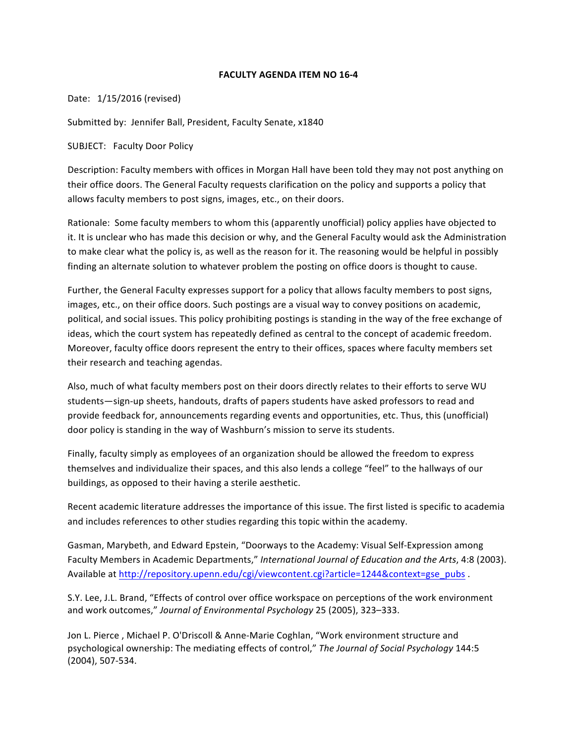## **FACULTY AGENDA ITEM NO 16-4**

Date: 1/15/2016 (revised)

Submitted by: Jennifer Ball, President, Faculty Senate, x1840

SUBJECT: Faculty Door Policy

Description: Faculty members with offices in Morgan Hall have been told they may not post anything on their office doors. The General Faculty requests clarification on the policy and supports a policy that allows faculty members to post signs, images, etc., on their doors.

Rationale: Some faculty members to whom this (apparently unofficial) policy applies have objected to it. It is unclear who has made this decision or why, and the General Faculty would ask the Administration to make clear what the policy is, as well as the reason for it. The reasoning would be helpful in possibly finding an alternate solution to whatever problem the posting on office doors is thought to cause.

Further, the General Faculty expresses support for a policy that allows faculty members to post signs, images, etc., on their office doors. Such postings are a visual way to convey positions on academic, political, and social issues. This policy prohibiting postings is standing in the way of the free exchange of ideas, which the court system has repeatedly defined as central to the concept of academic freedom. Moreover, faculty office doors represent the entry to their offices, spaces where faculty members set their research and teaching agendas.

Also, much of what faculty members post on their doors directly relates to their efforts to serve WU students—sign-up sheets, handouts, drafts of papers students have asked professors to read and provide feedback for, announcements regarding events and opportunities, etc. Thus, this (unofficial) door policy is standing in the way of Washburn's mission to serve its students.

Finally, faculty simply as employees of an organization should be allowed the freedom to express themselves and individualize their spaces, and this also lends a college "feel" to the hallways of our buildings, as opposed to their having a sterile aesthetic.

Recent academic literature addresses the importance of this issue. The first listed is specific to academia and includes references to other studies regarding this topic within the academy.

Gasman, Marybeth, and Edward Epstein, "Doorways to the Academy: Visual Self-Expression among Faculty Members in Academic Departments," International Journal of Education and the Arts, 4:8 (2003). Available at http://repository.upenn.edu/cgi/viewcontent.cgi?article=1244&context=gse\_pubs .

S.Y. Lee, J.L. Brand, "Effects of control over office workspace on perceptions of the work environment and work outcomes," Journal of Environmental Psychology 25 (2005), 323-333.

Jon L. Pierce, Michael P. O'Driscoll & Anne-Marie Coghlan, "Work environment structure and psychological ownership: The mediating effects of control," The Journal of Social Psychology 144:5 (2004), 507-534.